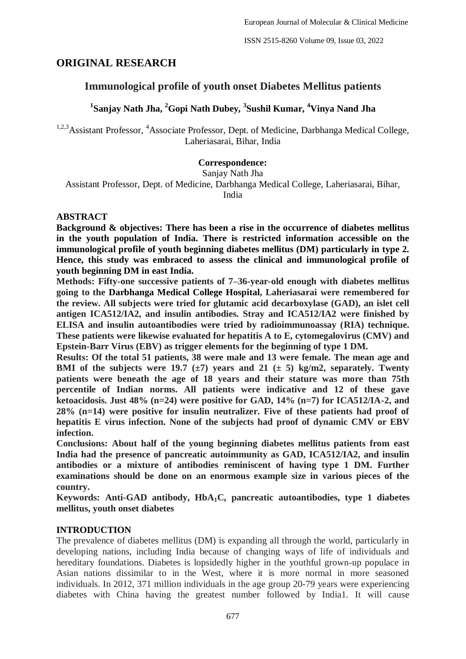## **ORIGINAL RESEARCH**

# **Immunological profile of youth onset Diabetes Mellitus patients**

# **1 Sanjay Nath Jha, <sup>2</sup>Gopi Nath Dubey, <sup>3</sup> Sushil Kumar, <sup>4</sup>Vinya Nand Jha**

<sup>1,2,3</sup>Assistant Professor, <sup>4</sup>Associate Professor, Dept. of Medicine, Darbhanga Medical College, Laheriasarai, Bihar, India

## **Correspondence:**

Sanjay Nath Jha

Assistant Professor, Dept. of Medicine, Darbhanga Medical College, Laheriasarai, Bihar,

India

### **ABSTRACT**

**Background & objectives: There has been a rise in the occurrence of diabetes mellitus in the youth population of India. There is restricted information accessible on the immunological profile of youth beginning diabetes mellitus (DM) particularly in type 2. Hence, this study was embraced to assess the clinical and immunological profile of youth beginning DM in east India.**

**Methods: Fifty-one successive patients of 7–36-year-old enough with diabetes mellitus going to the Darbhanga Medical College Hospital, Laheriasarai were remembered for the review. All subjects were tried for glutamic acid decarboxylase (GAD), an islet cell antigen ICA512/IA2, and insulin antibodies. Stray and ICA512/IA2 were finished by ELISA and insulin autoantibodies were tried by radioimmunoassay (RIA) technique. These patients were likewise evaluated for hepatitis A to E, cytomegalovirus (CMV) and Epstein-Barr Virus (EBV) as trigger elements for the beginning of type 1 DM.**

**Results: Of the total 51 patients, 38 were male and 13 were female. The mean age and BMI** of the subjects were 19.7 ( $\pm$ 7) years and 21 ( $\pm$  5) kg/m2, separately. Twenty **patients were beneath the age of 18 years and their stature was more than 75th percentile of Indian norms. All patients were indicative and 12 of these gave ketoacidosis. Just 48% (n=24) were positive for GAD, 14% (n=7) for ICA512/IA-2, and 28% (n=14) were positive for insulin neutralizer. Five of these patients had proof of hepatitis E virus infection. None of the subjects had proof of dynamic CMV or EBV infection.**

**Conclusions: About half of the young beginning diabetes mellitus patients from east India had the presence of pancreatic autoimmunity as GAD, ICA512/IA2, and insulin antibodies or a mixture of antibodies reminiscent of having type 1 DM. Further examinations should be done on an enormous example size in various pieces of the country.**

**Keywords: Anti-GAD antibody, HbA1C, pancreatic autoantibodies, type 1 diabetes mellitus, youth onset diabetes**

## **INTRODUCTION**

The prevalence of diabetes mellitus (DM) is expanding all through the world, particularly in developing nations, including India because of changing ways of life of individuals and hereditary foundations. Diabetes is lopsidedly higher in the youthful grown-up populace in Asian nations dissimilar to in the West, where it is more normal in more seasoned individuals. In 2012, 371 million individuals in the age group 20-79 years were experiencing diabetes with China having the greatest number followed by India1. It will cause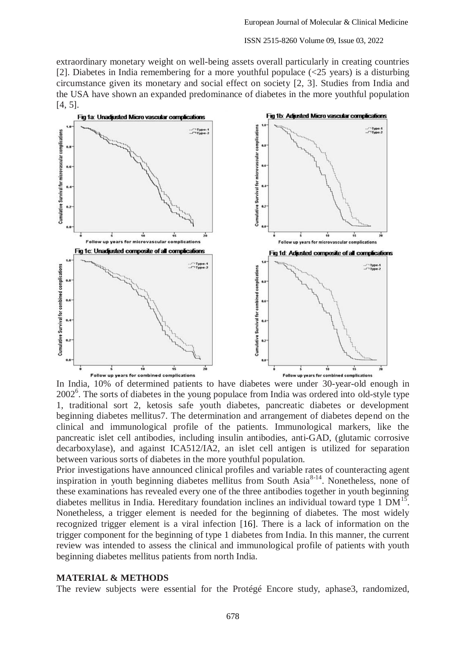extraordinary monetary weight on well-being assets overall particularly in creating countries [2]. Diabetes in India remembering for a more youthful populace (<25 years) is a disturbing circumstance given its monetary and social effect on society [2, 3]. Studies from India and the USA have shown an expanded predominance of diabetes in the more youthful population [4, 5].



In India, 10% of determined patients to have diabetes were under 30-year-old enough in 2002<sup>6</sup>. The sorts of diabetes in the young populace from India was ordered into old-style type 1, traditional sort 2, ketosis safe youth diabetes, pancreatic diabetes or development beginning diabetes mellitus7. The determination and arrangement of diabetes depend on the clinical and immunological profile of the patients. Immunological markers, like the pancreatic islet cell antibodies, including insulin antibodies, anti-GAD, (glutamic corrosive decarboxylase), and against ICA512/IA2, an islet cell antigen is utilized for separation between various sorts of diabetes in the more youthful population.

Prior investigations have announced clinical profiles and variable rates of counteracting agent inspiration in youth beginning diabetes mellitus from South Asia<sup>8-14</sup>. Nonetheless, none of these examinations has revealed every one of the three antibodies together in youth beginning diabetes mellitus in India. Hereditary foundation inclines an individual toward type  $1 \text{ DM}^{15}$ . Nonetheless, a trigger element is needed for the beginning of diabetes. The most widely recognized trigger element is a viral infection [16]. There is a lack of information on the trigger component for the beginning of type 1 diabetes from India. In this manner, the current review was intended to assess the clinical and immunological profile of patients with youth beginning diabetes mellitus patients from north India.

### **MATERIAL & METHODS**

The review subjects were essential for the Protégé Encore study, aphase3, randomized,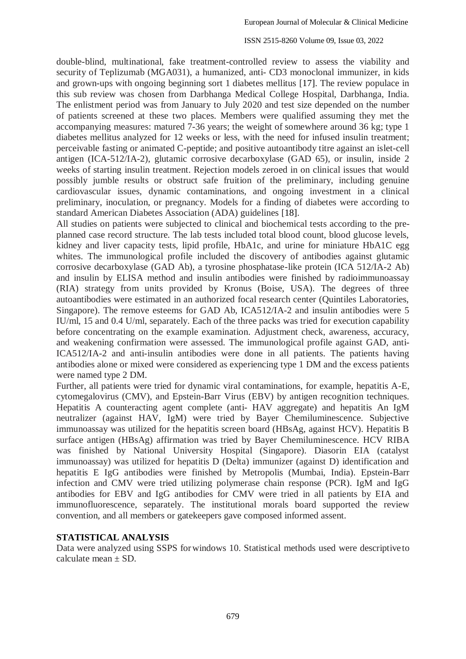double-blind, multinational, fake treatment-controlled review to assess the viability and security of Teplizumab (MGA031), a humanized, anti- CD3 monoclonal immunizer, in kids and grown-ups with ongoing beginning sort 1 diabetes mellitus [17]. The review populace in this sub review was chosen from Darbhanga Medical College Hospital, Darbhanga, India. The enlistment period was from January to July 2020 and test size depended on the number of patients screened at these two places. Members were qualified assuming they met the accompanying measures: matured 7-36 years; the weight of somewhere around 36 kg; type 1 diabetes mellitus analyzed for 12 weeks or less, with the need for infused insulin treatment; perceivable fasting or animated C-peptide; and positive autoantibody titre against an islet-cell antigen (ICA-512/IA-2), glutamic corrosive decarboxylase (GAD 65), or insulin, inside 2 weeks of starting insulin treatment. Rejection models zeroed in on clinical issues that would possibly jumble results or obstruct safe fruition of the preliminary, including genuine cardiovascular issues, dynamic contaminations, and ongoing investment in a clinical preliminary, inoculation, or pregnancy. Models for a finding of diabetes were according to standard American Diabetes Association (ADA) guidelines [18].

All studies on patients were subjected to clinical and biochemical tests according to the preplanned case record structure. The lab tests included total blood count, blood glucose levels, kidney and liver capacity tests, lipid profile, HbA1c, and urine for miniature HbA1C egg whites. The immunological profile included the discovery of antibodies against glutamic corrosive decarboxylase (GAD Ab), a tyrosine phosphatase-like protein (ICA 512/IA-2 Ab) and insulin by ELISA method and insulin antibodies were finished by radioimmunoassay (RIA) strategy from units provided by Kronus (Boise, USA). The degrees of three autoantibodies were estimated in an authorized focal research center (Quintiles Laboratories, Singapore). The remove esteems for GAD Ab, ICA512/IA-2 and insulin antibodies were 5 IU/ml, 15 and 0.4 U/ml, separately. Each of the three packs was tried for execution capability before concentrating on the example examination. Adjustment check, awareness, accuracy, and weakening confirmation were assessed. The immunological profile against GAD, anti-ICA512/IA-2 and anti-insulin antibodies were done in all patients. The patients having antibodies alone or mixed were considered as experiencing type 1 DM and the excess patients were named type 2 DM.

Further, all patients were tried for dynamic viral contaminations, for example, hepatitis A-E, cytomegalovirus (CMV), and Epstein-Barr Virus (EBV) by antigen recognition techniques. Hepatitis A counteracting agent complete (anti- HAV aggregate) and hepatitis An IgM neutralizer (against HAV, IgM) were tried by Bayer Chemiluminescence. Subjective immunoassay was utilized for the hepatitis screen board (HBsAg, against HCV). Hepatitis B surface antigen (HBsAg) affirmation was tried by Bayer Chemiluminescence. HCV RIBA was finished by National University Hospital (Singapore). Diasorin EIA (catalyst immunoassay) was utilized for hepatitis D (Delta) immunizer (against D) identification and hepatitis E IgG antibodies were finished by Metropolis (Mumbai, India). Epstein-Barr infection and CMV were tried utilizing polymerase chain response (PCR). IgM and IgG antibodies for EBV and IgG antibodies for CMV were tried in all patients by EIA and immunofluorescence, separately. The institutional morals board supported the review convention, and all members or gatekeepers gave composed informed assent.

### **STATISTICAL ANALYSIS**

Data were analyzed using SSPS forwindows 10. Statistical methods used were descriptive to calculate mean  $+$  SD.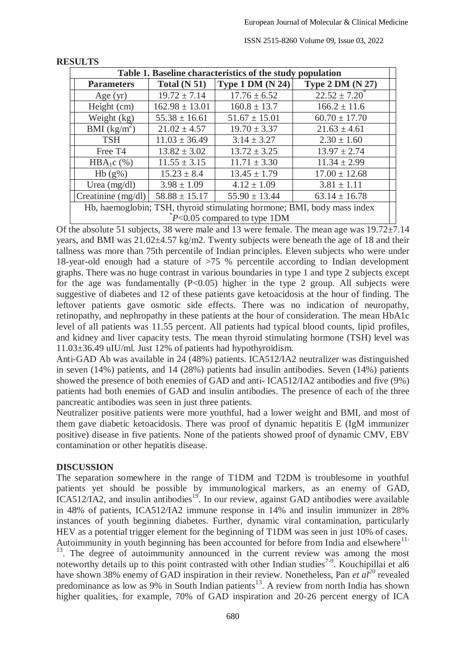| Table 1. Baseline characteristics of the study population               |                    |                    |                         |  |
|-------------------------------------------------------------------------|--------------------|--------------------|-------------------------|--|
| <b>Parameters</b>                                                       | Total $(N 51)$     | Type 1 DM $(N 24)$ | <b>Type 2 DM (N 27)</b> |  |
| Age $(yr)$                                                              | $19.72 \pm 7.14$   | $17.76 \pm 6.52$   | $22.52 \pm 7.20$        |  |
| Height (cm)                                                             | $162.98 \pm 13.01$ | $160.8 \pm 13.7$   | $166.2 \pm 11.6$        |  |
| Weight (kg)                                                             | $55.38 \pm 16.61$  | $51.67 \pm 15.01$  | $60.70 \pm 17.70$       |  |
| BMI $(kg/m^2)$                                                          | $21.02 \pm 4.57$   | $19.70 \pm 3.37$   | $21.63 \pm 4.61$        |  |
| <b>TSH</b>                                                              | $11.03 \pm 36.49$  | $3.14 \pm 3.27$    | $2.30 \pm 1.60$         |  |
| Free T <sub>4</sub>                                                     | $13.82 \pm 3.02$   | $13.72 \pm 3.25$   | $13.97 \pm 2.74$        |  |
| HBA <sub>1</sub> c $(\%)$                                               | $11.55 \pm 3.15$   | $11.71 \pm 3.30$   | $11.34 \pm 2.99$        |  |
| $Hb(g\%)$                                                               | $15.23 \pm 8.4$    | $13.45 \pm 1.79$   | $17.00 \pm 12.68$       |  |
| Urea $(mg/dl)$                                                          | $3.98 \pm 1.09$    | $4.12 \pm 1.09$    | $3.81 \pm 1.11$         |  |
| Creatinine (mg/dl)                                                      | $58.88 \pm 15.17$  | $55.90 \pm 13.44$  | $63.14 \pm 16.78$       |  |
| Hb, haemoglobin; TSH, thyroid stimulating hormone; BMI, body mass index |                    |                    |                         |  |
| $P<0.05$ compared to type 1DM                                           |                    |                    |                         |  |

#### **RESULTS**

Of the absolute 51 subjects, 38 were male and 13 were female. The mean age was 19.72±7.14 years, and BMI was 21.02±4.57 kg/m2. Twenty subjects were beneath the age of 18 and their tallness was more than 75th percentile of Indian principles. Eleven subjects who were under 18-year-old enough had a stature of >75 % percentile according to Indian development graphs. There was no huge contrast in various boundaries in type 1 and type 2 subjects except for the age was fundamentally  $(P<0.05)$  higher in the type 2 group. All subjects were suggestive of diabetes and 12 of these patients gave ketoacidosis at the hour of finding. The leftover patients gave osmotic side effects. There was no indication of neuropathy, retinopathy, and nephropathy in these patients at the hour of consideration. The mean HbA1c level of all patients was 11.55 percent. All patients had typical blood counts, lipid profiles, and kidney and liver capacity tests. The mean thyroid stimulating hormone (TSH) level was 11.03±36.49 uIU/ml. Just 12% of patients had hypothyroidism.

Anti-GAD Ab was available in 24 (48%) patients. ICA512/IA2 neutralizer was distinguished in seven (14%) patients, and 14 (28%) patients had insulin antibodies. Seven (14%) patients showed the presence of both enemies of GAD and anti- ICA512/IA2 antibodies and five (9%) patients had both enemies of GAD and insulin antibodies. The presence of each of the three pancreatic antibodies was seen in just three patients.

Neutralizer positive patients were more youthful, had a lower weight and BMI, and most of them gave diabetic ketoacidosis. There was proof of dynamic hepatitis E (IgM immunizer positive) disease in five patients. None of the patients showed proof of dynamic CMV, EBV contamination or other hepatitis disease.

### **DISCUSSION**

The separation somewhere in the range of T1DM and T2DM is troublesome in youthful patients yet should be possible by immunological markers, as an enemy of GAD,  $ICA512/IA2$ , and insulin antibodies<sup>19</sup>. In our review, against GAD antibodies were available in 48% of patients, ICA512/IA2 immune response in 14% and insulin immunizer in 28% instances of youth beginning diabetes. Further, dynamic viral contamination, particularly HEV as a potential trigger element for the beginning of T1DM was seen in just 10% of cases. Autoimmunity in youth beginning has been accounted for before from India and elsewhere<sup>11-</sup>

 $13$ . The degree of autoimmunity announced in the current review was among the most noteworthy details up to this point contrasted with other Indian studies<sup>7-9</sup>. Kouchipillai et al6 have shown 38% enemy of GAD inspiration in their review. Nonetheless, Pan *et al<sup>20</sup>* revealed predominance as low as 9% in South Indian patients<sup>13</sup>. A review from north India has shown higher qualities, for example, 70% of GAD inspiration and 20-26 percent energy of ICA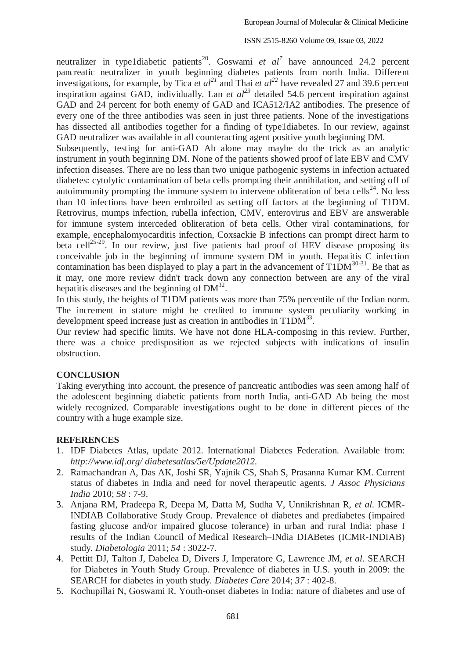neutralizer in type1diabetic patients<sup>20</sup>. Goswami *et al*<sup>7</sup> have announced 24.2 percent pancreatic neutralizer in youth beginning diabetes patients from north India. Different investigations, for example, by Tica *et al*<sup>21</sup> and Thai *et al*<sup>22</sup> have revealed 27 and 39.6 percent inspiration against GAD, individually. Lan *et al*<sup>23</sup> detailed 54.6 percent inspiration against GAD and 24 percent for both enemy of GAD and ICA512/IA2 antibodies. The presence of every one of the three antibodies was seen in just three patients. None of the investigations has dissected all antibodies together for a finding of type1diabetes. In our review, against GAD neutralizer was available in all counteracting agent positive youth beginning DM.

Subsequently, testing for anti-GAD Ab alone may maybe do the trick as an analytic instrument in youth beginning DM. None of the patients showed proof of late EBV and CMV infection diseases. There are no less than two unique pathogenic systems in infection actuated diabetes: cytolytic contamination of beta cells prompting their annihilation, and setting off of autoimmunity prompting the immune system to intervene obliteration of beta cells<sup>24</sup>. No less than 10 infections have been embroiled as setting off factors at the beginning of T1DM. Retrovirus, mumps infection, rubella infection, CMV, enterovirus and EBV are answerable for immune system interceded obliteration of beta cells. Other viral contaminations, for example, encephalomyocarditis infection, Coxsackie B infections can prompt direct harm to beta cell<sup>25-29</sup>. In our review, just five patients had proof of HEV disease proposing its conceivable job in the beginning of immune system DM in youth. Hepatitis C infection contamination has been displayed to play a part in the advancement of  $T1DM^{30-31}$ . Be that as it may, one more review didn't track down any connection between are any of the viral hepatitis diseases and the beginning of  $DM^{32}$ .

In this study, the heights of T1DM patients was more than 75% percentile of the Indian norm. The increment in stature might be credited to immune system peculiarity working in development speed increase just as creation in antibodies in  $T1DM^{33}$ .

Our review had specific limits. We have not done HLA-composing in this review. Further, there was a choice predisposition as we rejected subjects with indications of insulin obstruction.

#### **CONCLUSION**

Taking everything into account, the presence of pancreatic antibodies was seen among half of the adolescent beginning diabetic patients from north India, anti-GAD Ab being the most widely recognized. Comparable investigations ought to be done in different pieces of the country with a huge example size.

#### **REFERENCES**

- 1. IDF Diabetes Atlas, update 2012. International Diabetes Federation. Available from: *<http://www.idf.org/> diabetesatlas/5e/Update2012.*
- 2. Ramachandran A, Das AK, Joshi SR, Yajnik CS, Shah S, Prasanna Kumar KM. Current status of diabetes in India and need for novel therapeutic agents. *J Assoc Physicians India* 2010; *58* : 7-9.
- 3. Anjana RM, Pradeepa R, Deepa M, Datta M, Sudha V, Unnikrishnan R, *et al.* ICMR-INDIAB Collaborative Study Group. Prevalence of diabetes and prediabetes (impaired fasting glucose and/or impaired glucose tolerance) in urban and rural India: phase I results of the Indian Council of Medical Research–INdia DIABetes (ICMR-INDIAB) study. *Diabetologia* 2011; *54* : 3022-7.
- 4. Pettitt DJ, Talton J, Dabelea D, Divers J, Imperatore G, Lawrence JM, *et al*. SEARCH for Diabetes in Youth Study Group. Prevalence of diabetes in U.S. youth in 2009: the SEARCH for diabetes in youth study. *Diabetes Care* 2014; *37* : 402-8.
- 5. Kochupillai N, Goswami R. Youth-onset diabetes in India: nature of diabetes and use of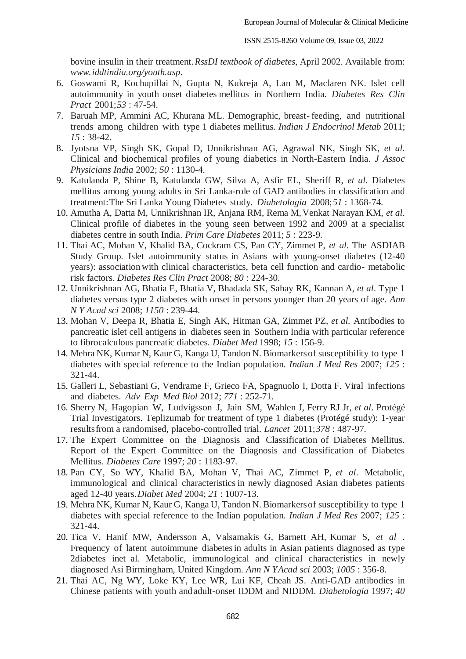bovine insulin in their treatment.*RssDI textbook of diabetes*, April 2002. Available from: *[www.i](http://www/)ddtindia.org/youth.asp*.

- 6. Goswami R, Kochupillai N, Gupta N, Kukreja A, Lan M, Maclaren NK. Islet cell autoimmunity in youth onset diabetes mellitus in Northern India. *Diabetes Res Clin Pract* 2001;*53* : 47-54.
- 7. Baruah MP, Ammini AC, Khurana ML. Demographic, breast- feeding, and nutritional trends among children with type 1 diabetes mellitus. *Indian J Endocrinol Metab* 2011; *15* : 38-42.
- 8. Jyotsna VP, Singh SK, Gopal D, Unnikrishnan AG, Agrawal NK, Singh SK, *et al*. Clinical and biochemical profiles of young diabetics in North-Eastern India. *J Assoc Physicians India* 2002; *50* : 1130-4.
- 9. Katulanda P, Shine B, Katulanda GW, Silva A, Asfir EL, Sheriff R, *et al*. Diabetes mellitus among young adults in Sri Lanka*-*role of GAD antibodies in classification and treatment:The Sri Lanka Young Diabetes study. *Diabetologia* 2008;*51* : 1368-74.
- 10. Amutha A, Datta M, Unnikrishnan IR, Anjana RM, Rema M,Venkat Narayan KM, *et al*. Clinical profile of diabetes in the young seen between 1992 and 2009 at a specialist diabetes centre in south India. *Prim Care Diabetes* 2011; *5* : 223-9.
- 11. Thai AC, Mohan V, Khalid BA, Cockram CS, Pan CY, Zimmet P, *et al*. The ASDIAB Study Group. Islet autoimmunity status in Asians with young-onset diabetes (12-40 years): association with clinical characteristics, beta cell function and cardio- metabolic risk factors. *Diabetes Res Clin Pract* 2008; *80* : 224-30.
- 12. Unnikrishnan AG, Bhatia E, Bhatia V, Bhadada SK, Sahay RK, Kannan A, *et al*. Type 1 diabetes versus type 2 diabetes with onset in persons younger than 20 years of age. *Ann N Y Acad sci* 2008; *1150* : 239-44.
- 13. Mohan V, Deepa R, Bhatia E, Singh AK, Hitman GA, Zimmet PZ, *et al.* Antibodies to pancreatic islet cell antigens in diabetes seen in Southern India with particular reference to fibrocalculous pancreatic diabetes. *Diabet Med* 1998; *15* : 156-9.
- 14. Mehra NK, Kumar N, Kaur G, Kanga U, Tandon N. Biomarkersof susceptibility to type 1 diabetes with special reference to the Indian population. *Indian J Med Res* 2007; *125* : 321-44.
- 15. Galleri L, Sebastiani G, Vendrame F, Grieco FA, Spagnuolo I, Dotta F. Viral infections and diabetes. *Adv Exp Med Biol* 2012; *771* : 252-71.
- 16. Sherry N, Hagopian W, Ludvigsson J, Jain SM, Wahlen J, Ferry RJ Jr, *et al*. Protégé Trial Investigators. Teplizumab for treatment of type 1 diabetes (Protégé study): 1-year resultsfrom a randomised, placebo-controlled trial. *Lancet* 2011;*378* : 487-97.
- 17. The Expert Committee on the Diagnosis and Classification of Diabetes Mellitus. Report of the Expert Committee on the Diagnosis and Classification of Diabetes Mellitus. *Diabetes Care* 1997; *20* : 1183-97.
- 18. Pan CY, So WY, Khalid BA, Mohan V, Thai AC, Zimmet P, *et al*. Metabolic, immunological and clinical characteristics in newly diagnosed Asian diabetes patients aged 12-40 years.*Diabet Med* 2004; *21* : 1007-13.
- 19. Mehra NK, Kumar N, Kaur G, Kanga U, Tandon N. Biomarkersof susceptibility to type 1 diabetes with special reference to the Indian population. *Indian J Med Res* 2007; *125* : 321-44.
- 20. Tica V, Hanif MW, Andersson A, Valsamakis G, Barnett AH, Kumar S, *et al* . Frequency of latent autoimmune diabetesin adults in Asian patients diagnosed as type 2diabetes inet al. Metabolic, immunological and clinical characteristics in newly diagnosed Asi Birmingham, United Kingdom. *Ann N YAcad sci* 2003; *1005* : 356-8.
- 21. Thai AC, Ng WY, Loke KY, Lee WR, Lui KF, Cheah JS. Anti-GAD antibodies in Chinese patients with youth andadult-onset IDDM and NIDDM. *Diabetologia* 1997; *40*